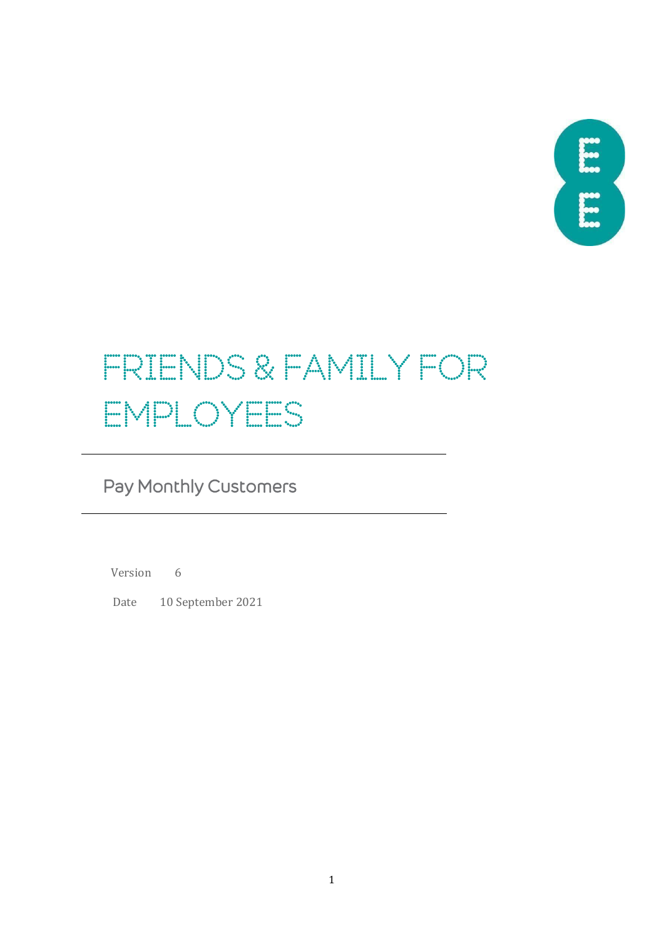

# FRIENDS & FAMILY FOR EMPLOYEES

## Pay Monthly Customers

Version 6

Date 10 September 2021